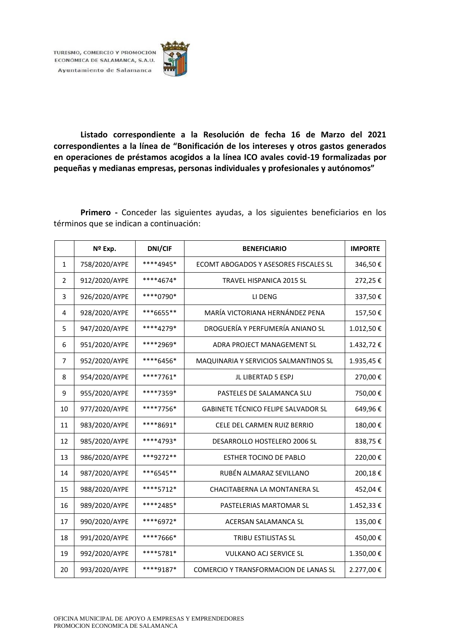

**Listado correspondiente a la Resolución de fecha 16 de Marzo del 2021 correspondientes a la línea de "Bonificación de los intereses y otros gastos generados en operaciones de préstamos acogidos a la línea ICO avales covid-19 formalizadas por pequeñas y medianas empresas, personas individuales y profesionales y autónomos"**

**Primero -** Conceder las siguientes ayudas, a los siguientes beneficiarios en los términos que se indican a continuación:

|                | Nº Exp.       | DNI/CIF   | <b>BENEFICIARIO</b>                        | <b>IMPORTE</b> |
|----------------|---------------|-----------|--------------------------------------------|----------------|
| 1              | 758/2020/AYPE | ****4945* | ECOMT ABOGADOS Y ASESORES FISCALES SL      | 346,50€        |
| $\overline{2}$ | 912/2020/AYPE | ****4674* | TRAVEL HISPANICA 2015 SL                   | 272,25€        |
| 3              | 926/2020/AYPE | ****0790* | LI DENG                                    | 337,50€        |
| 4              | 928/2020/AYPE | ***6655** | MARÍA VICTORIANA HERNÁNDEZ PENA            | 157,50€        |
| 5              | 947/2020/AYPE | ****4279* | DROGUERÍA Y PERFUMERÍA ANIANO SL           | 1.012,50€      |
| 6              | 951/2020/AYPE | ****2969* | ADRA PROJECT MANAGEMENT SL                 | 1.432,72€      |
| 7              | 952/2020/AYPE | ****6456* | MAQUINARIA Y SERVICIOS SALMANTINOS SL      | 1.935,45€      |
| 8              | 954/2020/AYPE | ****7761* | JL LIBERTAD 5 ESPJ                         | 270,00€        |
| 9              | 955/2020/AYPE | ****7359* | PASTELES DE SALAMANCA SLU                  | 750,00€        |
| 10             | 977/2020/AYPE | ****7756* | GABINETE TÉCNICO FELIPE SALVADOR SL        | 649,96€        |
| 11             | 983/2020/AYPE | ****8691* | CELE DEL CARMEN RUIZ BERRIO                | 180,00€        |
| 12             | 985/2020/AYPE | ****4793* | DESARROLLO HOSTELERO 2006 SL               | 838,75€        |
| 13             | 986/2020/AYPE | ***9272** | <b>ESTHER TOCINO DE PABLO</b>              | 220,00€        |
| 14             | 987/2020/AYPE | ***6545** | RUBÉN ALMARAZ SEVILLANO                    | 200,18€        |
| 15             | 988/2020/AYPE | ****5712* | CHACITABERNA LA MONTANERA SL               | 452,04€        |
| 16             | 989/2020/AYPE | ****2485* | PASTELERIAS MARTOMAR SL                    | 1.452,33 €     |
| 17             | 990/2020/AYPE | ****6972* | <b>ACERSAN SALAMANCA SL</b>                | 135,00€        |
| 18             | 991/2020/AYPE | ****7666* | TRIBU ESTILISTAS SL                        | 450,00€        |
| 19             | 992/2020/AYPE | ****5781* | <b>VULKANO ACJ SERVICE SL</b><br>1.350,00€ |                |
| 20             | 993/2020/AYPE | ****9187* | COMERCIO Y TRANSFORMACION DE LANAS SL      | 2.277,00€      |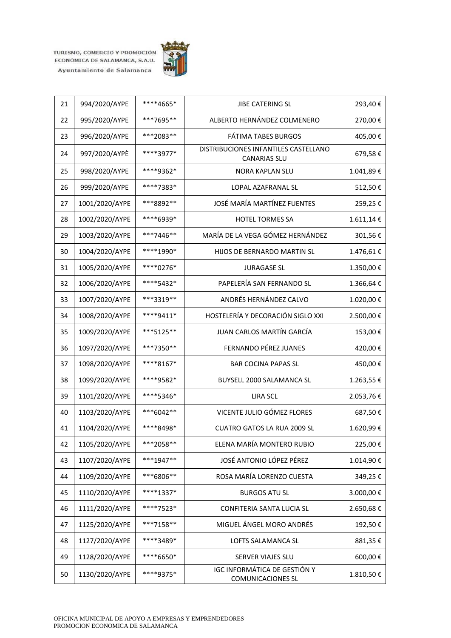

| 21 | 994/2020/AYPE  | ****4665* | JIBE CATERING SL                                                | 293,40€   |  |
|----|----------------|-----------|-----------------------------------------------------------------|-----------|--|
| 22 | 995/2020/AYPE  | ***7695** | ALBERTO HERNÁNDEZ COLMENERO                                     | 270,00€   |  |
| 23 | 996/2020/AYPE  | ***2083** | <b>FÁTIMA TABES BURGOS</b>                                      | 405,00€   |  |
| 24 | 997/2020/AYPÈ  | ****3977* | DISTRIBUCIONES INFANTILES CASTELLANO<br><b>CANARIAS SLU</b>     | 679,58€   |  |
| 25 | 998/2020/AYPE  | ****9362* | NORA KAPLAN SLU                                                 | 1.041,89€ |  |
| 26 | 999/2020/AYPE  | ****7383* | LOPAL AZAFRANAL SL                                              | 512,50€   |  |
| 27 | 1001/2020/AYPE | ***8892** | JOSÉ MARÍA MARTÍNEZ FUENTES                                     | 259,25€   |  |
| 28 | 1002/2020/AYPE | ****6939* | <b>HOTEL TORMES SA</b>                                          | 1.611,14€ |  |
| 29 | 1003/2020/AYPE | ***7446** | MARÍA DE LA VEGA GÓMEZ HERNÁNDEZ                                | 301,56€   |  |
| 30 | 1004/2020/AYPE | ****1990* | HIJOS DE BERNARDO MARTIN SL                                     | 1.476,61€ |  |
| 31 | 1005/2020/AYPE | ****0276* | <b>JURAGASE SL</b>                                              | 1.350,00€ |  |
| 32 | 1006/2020/AYPE | ****5432* | PAPELERÍA SAN FERNANDO SL                                       | 1.366,64€ |  |
| 33 | 1007/2020/AYPE | ***3319** | ANDRÉS HERNÁNDEZ CALVO                                          | 1.020,00€ |  |
| 34 | 1008/2020/AYPE | ****9411* | HOSTELERÍA Y DECORACIÓN SIGLO XXI                               | 2.500,00€ |  |
| 35 | 1009/2020/AYPE | ***5125** | JUAN CARLOS MARTÍN GARCÍA                                       | 153,00€   |  |
| 36 | 1097/2020/AYPE | ***7350** | FERNANDO PÉREZ JUANES<br>420,00€                                |           |  |
| 37 | 1098/2020/AYPE | ****8167* | <b>BAR COCINA PAPAS SL</b>                                      |           |  |
| 38 | 1099/2020/AYPE | ****9582* | 1.263,55€<br>BUYSELL 2000 SALAMANCA SL                          |           |  |
| 39 | 1101/2020/AYPE | ****5346* | <b>LIRA SCL</b><br>2.053,76€                                    |           |  |
| 40 | 1103/2020/AYPE | ***6042** | VICENTE JULIO GÓMEZ FLORES                                      | 687,50€   |  |
| 41 | 1104/2020/AYPE | ****8498* | <b>CUATRO GATOS LA RUA 2009 SL</b>                              | 1.620,99€ |  |
| 42 | 1105/2020/AYPE | ***2058** | ELENA MARÍA MONTERO RUBIO                                       | 225,00€   |  |
| 43 | 1107/2020/AYPE | ***1947** | JOSÉ ANTONIO LÓPEZ PÉREZ                                        | 1.014,90€ |  |
| 44 | 1109/2020/AYPE | ***6806** | ROSA MARÍA LORENZO CUESTA                                       | 349,25€   |  |
| 45 | 1110/2020/AYPE | ****1337* | 3.000,00€<br><b>BURGOS ATU SL</b>                               |           |  |
| 46 | 1111/2020/AYPE | ****7523* | CONFITERIA SANTA LUCIA SL                                       | 2.650,68€ |  |
| 47 | 1125/2020/AYPE | ***7158** | MIGUEL ÁNGEL MORO ANDRÉS                                        | 192,50€   |  |
| 48 | 1127/2020/AYPE | ****3489* | LOFTS SALAMANCA SL                                              | 881,35€   |  |
| 49 | 1128/2020/AYPE | ****6650* | SERVER VIAJES SLU                                               | 600,00€   |  |
| 50 | 1130/2020/AYPE | ****9375* | <b>IGC INFORMÁTICA DE GESTIÓN Y</b><br><b>COMUNICACIONES SL</b> | 1.810,50€ |  |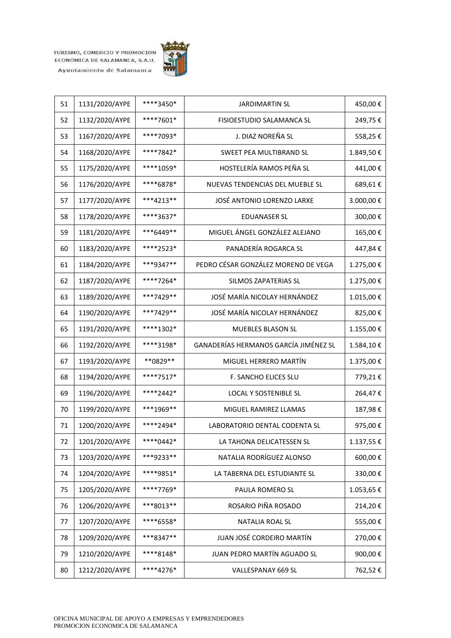

| 51 | 1131/2020/AYPE | ****3450* | <b>JARDIMARTIN SL</b>                   | 450,00€   |
|----|----------------|-----------|-----------------------------------------|-----------|
| 52 | 1132/2020/AYPE | ****7601* | FISIOESTUDIO SALAMANCA SL               | 249,75€   |
| 53 | 1167/2020/AYPE | ****7093* | J. DIAZ NOREÑA SL                       | 558,25€   |
| 54 | 1168/2020/AYPE | ****7842* | SWEET PEA MULTIBRAND SL                 | 1.849,50€ |
| 55 | 1175/2020/AYPE | ****1059* | HOSTELERÍA RAMOS PEÑA SL                | 441,00€   |
| 56 | 1176/2020/AYPE | ****6878* | NUEVAS TENDENCIAS DEL MUEBLE SL         | 689,61€   |
| 57 | 1177/2020/AYPE | ***4213** | JOSÉ ANTONIO LORENZO LARXE              | 3.000,00€ |
| 58 | 1178/2020/AYPE | ****3637* | <b>EDUANASER SL</b>                     | 300,00€   |
| 59 | 1181/2020/AYPE | ***6449** | MIGUEL ÁNGEL GONZÁLEZ ALEJANO           | 165,00€   |
| 60 | 1183/2020/AYPE | ****2523* | PANADERÍA ROGARCA SL                    | 447,84€   |
| 61 | 1184/2020/AYPE | ***9347** | PEDRO CÉSAR GONZÁLEZ MORENO DE VEGA     | 1.275,00€ |
| 62 | 1187/2020/AYPE | ****7264* | <b>SILMOS ZAPATERIAS SL</b>             | 1.275,00€ |
| 63 | 1189/2020/AYPE | ***7429** | JOSÉ MARÍA NICOLAY HERNÁNDEZ            | 1.015,00€ |
| 64 | 1190/2020/AYPE | ***7429** | JOSÉ MARÍA NICOLAY HERNÁNDEZ            | 825,00€   |
| 65 | 1191/2020/AYPE | ****1302* | MUEBLES BLASON SL                       | 1.155,00€ |
| 66 | 1192/2020/AYPE | ****3198* | GANADERÍAS HERMANOS GARCÍA JIMÉNEZ SL   | 1.584,10€ |
| 67 | 1193/2020/AYPE | **0829**  | MIGUEL HERRERO MARTÍN<br>1.375,00€      |           |
| 68 | 1194/2020/AYPE | ****7517* | F. SANCHO ELICES SLU<br>779,21€         |           |
| 69 | 1196/2020/AYPE | ****2442* | LOCAL Y SOSTENIBLE SL<br>264,47€        |           |
| 70 | 1199/2020/AYPE | ***1969** | MIGUEL RAMIREZ LLAMAS                   | 187,98€   |
| 71 | 1200/2020/AYPE | ****2494* | LABORATORIO DENTAL CODENTA SL           | 975,00€   |
| 72 | 1201/2020/AYPE | ****0442* | LA TAHONA DELICATESSEN SL               | 1.137,55€ |
| 73 | 1203/2020/AYPE | ***9233** | NATALIA RODRÍGUEZ ALONSO                | 600,00€   |
| 74 | 1204/2020/AYPE | ****9851* | LA TABERNA DEL ESTUDIANTE SL<br>330,00€ |           |
| 75 | 1205/2020/AYPE | ****7769* | PAULA ROMERO SL                         | 1.053,65€ |
| 76 | 1206/2020/AYPE | ***8013** | ROSARIO PIÑA ROSADO<br>214,20€          |           |
| 77 | 1207/2020/AYPE | ****6558* | NATALIA ROAL SL                         | 555,00€   |
| 78 | 1209/2020/AYPE | ***8347** | JUAN JOSÉ CORDEIRO MARTÍN<br>270,00€    |           |
| 79 | 1210/2020/AYPE | ****8148* | JUAN PEDRO MARTÍN AGUADO SL<br>900,00€  |           |
| 80 | 1212/2020/AYPE | ****4276* | VALLESPANAY 669 SL                      | 762,52€   |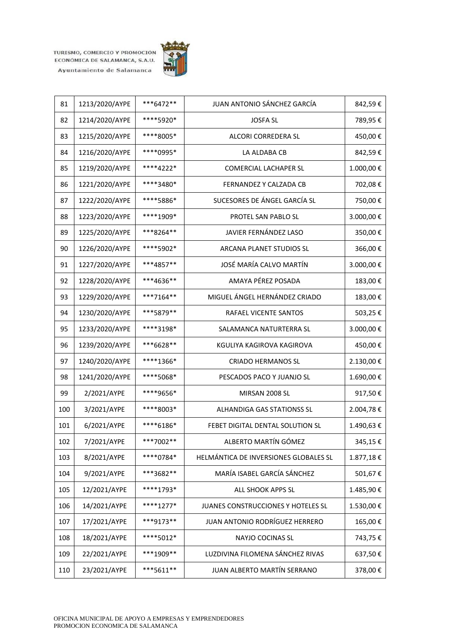

| 81  | 1213/2020/AYPE | ***6472** | JUAN ANTONIO SÁNCHEZ GARCÍA                 | 842,59€   |
|-----|----------------|-----------|---------------------------------------------|-----------|
| 82  | 1214/2020/AYPE | ****5920* | <b>JOSFA SL</b>                             | 789,95€   |
| 83  | 1215/2020/AYPE | ****8005* | ALCORI CORREDERA SL                         | 450,00€   |
| 84  | 1216/2020/AYPE | ****0995* | LA ALDABA CB                                | 842,59€   |
| 85  | 1219/2020/AYPE | ****4222* | <b>COMERCIAL LACHAPER SL</b>                | 1.000,00€ |
| 86  | 1221/2020/AYPE | ****3480* | FERNANDEZ Y CALZADA CB                      | 702,08€   |
| 87  | 1222/2020/AYPE | ****5886* | SUCESORES DE ÁNGEL GARCÍA SL                | 750,00€   |
| 88  | 1223/2020/AYPE | ****1909* | PROTEL SAN PABLO SL                         | 3.000,00€ |
| 89  | 1225/2020/AYPE | ***8264** | JAVIER FERNÁNDEZ LASO                       | 350,00€   |
| 90  | 1226/2020/AYPE | ****5902* | ARCANA PLANET STUDIOS SL                    | 366,00€   |
| 91  | 1227/2020/AYPE | ***4857** | JOSÉ MARÍA CALVO MARTÍN                     | 3.000,00€ |
| 92  | 1228/2020/AYPE | ***4636** | AMAYA PÉREZ POSADA                          | 183,00€   |
| 93  | 1229/2020/AYPE | ***7164** | MIGUEL ÁNGEL HERNÁNDEZ CRIADO               | 183,00€   |
| 94  | 1230/2020/AYPE | ***5879** | RAFAEL VICENTE SANTOS                       | 503,25€   |
| 95  | 1233/2020/AYPE | ****3198* | SALAMANCA NATURTERRA SL                     | 3.000,00€ |
| 96  | 1239/2020/AYPE | ***6628** | 450,00€<br>KGULIYA KAGIROVA KAGIROVA        |           |
| 97  | 1240/2020/AYPE | ****1366* | <b>CRIADO HERMANOS SL</b><br>2.130,00€      |           |
| 98  | 1241/2020/AYPE | ****5068* | PESCADOS PACO Y JUANJO SL<br>1.690,00€      |           |
| 99  | 2/2021/AYPE    | ****9656* | MIRSAN 2008 SL<br>917,50€                   |           |
| 100 | 3/2021/AYPE    | ****8003* | ALHANDIGA GAS STATIONSS SL                  | 2.004,78€ |
| 101 | 6/2021/AYPE    | ****6186* | FEBET DIGITAL DENTAL SOLUTION SL            | 1.490,63€ |
| 102 | 7/2021/AYPE    | ***7002** | ALBERTO MARTÍN GÓMEZ                        | 345,15€   |
| 103 | 8/2021/AYPE    | ****0784* | HELMÁNTICA DE INVERSIONES GLOBALES SL       | 1.877,18€ |
| 104 | 9/2021/AYPE    | ***3682** | MARÍA ISABEL GARCÍA SÁNCHEZ<br>501,67€      |           |
| 105 | 12/2021/AYPE   | ****1793* | 1.485,90€<br>ALL SHOOK APPS SL              |           |
| 106 | 14/2021/AYPE   | ****1277* | JUANES CONSTRUCCIONES Y HOTELES SL          | 1.530,00€ |
| 107 | 17/2021/AYPE   | ***9173** | JUAN ANTONIO RODRÍGUEZ HERRERO              | 165,00€   |
| 108 | 18/2021/AYPE   | ****5012* | NAYJO COCINAS SL<br>743,75€                 |           |
| 109 | 22/2021/AYPE   | ***1909** | LUZDIVINA FILOMENA SÁNCHEZ RIVAS<br>637,50€ |           |
| 110 | 23/2021/AYPE   | ***5611** | JUAN ALBERTO MARTÍN SERRANO                 | 378,00€   |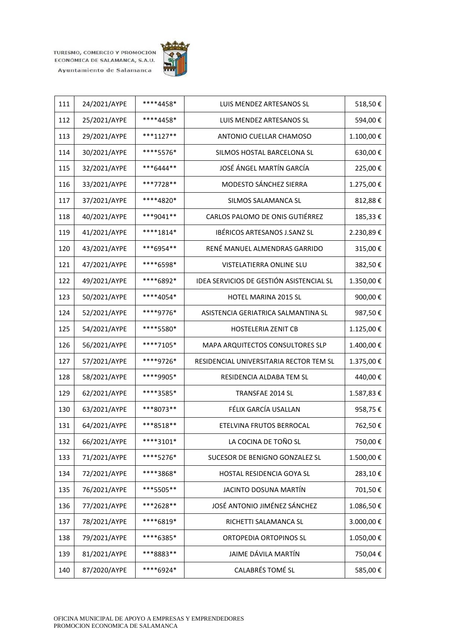

| 111 | 24/2021/AYPE | ****4458*   | LUIS MENDEZ ARTESANOS SL                 | 518,50€   |
|-----|--------------|-------------|------------------------------------------|-----------|
| 112 | 25/2021/AYPE | ****4458*   | LUIS MENDEZ ARTESANOS SL                 | 594,00€   |
| 113 | 29/2021/AYPE | $***1127**$ | ANTONIO CUELLAR CHAMOSO                  | 1.100,00€ |
| 114 | 30/2021/AYPE | ****5576*   | SILMOS HOSTAL BARCELONA SL               | 630,00€   |
| 115 | 32/2021/AYPE | ***6444**   | JOSÉ ÁNGEL MARTÍN GARCÍA                 | 225,00€   |
| 116 | 33/2021/AYPE | ***7728**   | MODESTO SÁNCHEZ SIERRA                   | 1.275,00€ |
| 117 | 37/2021/AYPE | ****4820*   | <b>SILMOS SALAMANCA SL</b>               | 812,88€   |
| 118 | 40/2021/AYPE | ***9041**   | CARLOS PALOMO DE ONIS GUTIÉRREZ          | 185,33€   |
| 119 | 41/2021/AYPE | ****1814*   | IBÉRICOS ARTESANOS J.SANZ SL             | 2.230,89€ |
| 120 | 43/2021/AYPE | ***6954**   | RENÉ MANUEL ALMENDRAS GARRIDO            | 315,00€   |
| 121 | 47/2021/AYPE | ****6598*   | VISTELATIERRA ONLINE SLU                 | 382,50€   |
| 122 | 49/2021/AYPE | ****6892*   | IDEA SERVICIOS DE GESTIÓN ASISTENCIAL SL | 1.350,00€ |
| 123 | 50/2021/AYPE | ****4054*   | HOTEL MARINA 2015 SL                     | 900,00€   |
| 124 | 52/2021/AYPE | ****9776*   | ASISTENCIA GERIATRICA SALMANTINA SL      | 987,50€   |
| 125 | 54/2021/AYPE | ****5580*   | <b>HOSTELERIA ZENIT CB</b>               | 1.125,00€ |
| 126 | 56/2021/AYPE | ****7105*   | MAPA ARQUITECTOS CONSULTORES SLP         | 1.400,00€ |
| 127 | 57/2021/AYPE | ****9726*   | RESIDENCIAL UNIVERSITARIA RECTOR TEM SL  | 1.375,00€ |
| 128 | 58/2021/AYPE | ****9905*   | RESIDENCIA ALDABA TEM SL                 | 440,00€   |
| 129 | 62/2021/AYPE | ****3585*   | TRANSFAE 2014 SL<br>1.587,83€            |           |
| 130 | 63/2021/AYPE | ***8073**   | FÉLIX GARCÍA USALLAN                     | 958,75€   |
| 131 | 64/2021/AYPE | ***8518**   | ETELVINA FRUTOS BERROCAL                 | 762,50€   |
| 132 | 66/2021/AYPE | ****3101*   | LA COCINA DE TOÑO SL                     | 750,00€   |
| 133 | 71/2021/AYPE | ****5276*   | SUCESOR DE BENIGNO GONZALEZ SL           | 1.500,00€ |
| 134 | 72/2021/AYPE | ****3868*   | HOSTAL RESIDENCIA GOYA SL                | 283,10€   |
| 135 | 76/2021/AYPE | ***5505**   | JACINTO DOSUNA MARTÍN                    | 701,50€   |
| 136 | 77/2021/AYPE | ***2628**   | JOSÉ ANTONIO JIMÉNEZ SÁNCHEZ             | 1.086,50€ |
| 137 | 78/2021/AYPE | ****6819*   | RICHETTI SALAMANCA SL                    | 3.000,00€ |
| 138 | 79/2021/AYPE | ****6385*   | ORTOPEDIA ORTOPINOS SL                   | 1.050,00€ |
| 139 | 81/2021/AYPE | ***8883**   | JAIME DÁVILA MARTÍN<br>750,04€           |           |
| 140 | 87/2020/AYPE | ****6924*   | <b>CALABRÉS TOMÉ SL</b>                  | 585,00€   |
|     |              |             |                                          |           |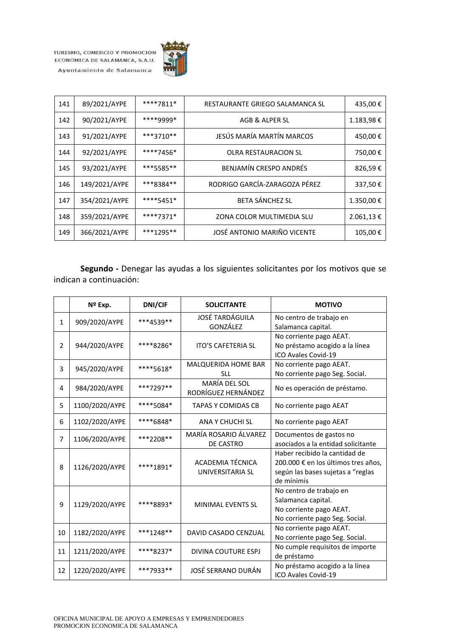

| 141 | 89/2021/AYPE  | ****7811* | RESTAURANTE GRIEGO SALAMANCA SL | 435,00€   |
|-----|---------------|-----------|---------------------------------|-----------|
| 142 | 90/2021/AYPE  | ****9999* | AGB & ALPER SL                  | 1.183,98€ |
| 143 | 91/2021/AYPE  | ***3710** | JESÚS MARÍA MARTÍN MARCOS       | 450,00€   |
| 144 | 92/2021/AYPE  | ****7456* | <b>OLRA RESTAURACION SL</b>     | 750,00€   |
| 145 | 93/2021/AYPE  | ***5585** | BENJAMÍN CRESPO ANDRÉS          | 826,59€   |
| 146 | 149/2021/AYPE | ***8384** | RODRIGO GARCÍA-ZARAGOZA PÉREZ   | 337,50€   |
| 147 | 354/2021/AYPE | ****5451* | BETA SÁNCHEZ SL                 | 1.350,00€ |
| 148 | 359/2021/AYPE | ****7371* | ZONA COLOR MULTIMEDIA SLU       | 2.061,13€ |
| 149 | 366/2021/AYPE | ***1295** | JOSÉ ANTONIO MARIÑO VICENTE     | 105,00€   |

**Segundo -** Denegar las ayudas a los siguientes solicitantes por los motivos que se indican a continuación:

|                | Nº Exp.        | <b>DNI/CIF</b> | <b>SOLICITANTE</b>         | <b>MOTIVO</b>                       |
|----------------|----------------|----------------|----------------------------|-------------------------------------|
| $\mathbf{1}$   | 909/2020/AYPE  | ***4539**      | <b>JOSÉ TARDÁGUILA</b>     | No centro de trabajo en             |
|                |                |                | GONZÁLEZ                   | Salamanca capital.                  |
|                |                |                |                            | No corriente pago AEAT.             |
| $\overline{2}$ | 944/2020/AYPE  | ****8286*      | <b>ITO'S CAFETERIA SL</b>  | No préstamo acogido a la línea      |
|                |                |                |                            | ICO Avales Covid-19                 |
| 3              | 945/2020/AYPE  | ****5618*      | MALQUERIDA HOME BAR        | No corriente pago AEAT.             |
|                |                |                | <b>SLL</b>                 | No corriente pago Seg. Social.      |
| 4              | 984/2020/AYPE  | ***7297**      | <b>MARÍA DEL SOL</b>       | No es operación de préstamo.        |
|                |                |                | RODRÍGUEZ HERNÁNDEZ        |                                     |
| 5              | 1100/2020/AYPE | ****5084*      | TAPAS Y COMIDAS CB         | No corriente pago AEAT              |
| 6              | 1102/2020/AYPE | ****6848*      | ANA Y CHUCHI SL            | No corriente pago AEAT              |
|                |                |                | MARÍA ROSARIO ÁLVAREZ      | Documentos de gastos no             |
| 7              | 1106/2020/AYPE | ***2208**      | DE CASTRO                  | asociados a la entidad solicitante  |
|                |                |                |                            | Haber recibido la cantidad de       |
|                |                |                | ACADEMIA TÉCNICA           | 200.000 € en los últimos tres años, |
| 8              | 1126/2020/AYPE | ****1891*      | UNIVERSITARIA SL           | según las bases sujetas a "reglas   |
|                |                |                |                            | de mínimis                          |
|                |                |                |                            | No centro de trabajo en             |
| 9              | 1129/2020/AYPE | ****8893*      | <b>MINIMAL EVENTS SL</b>   | Salamanca capital.                  |
|                |                |                |                            | No corriente pago AEAT.             |
|                |                |                |                            | No corriente pago Seg. Social.      |
| 10             | 1182/2020/AYPE | $***1248**$    | DAVID CASADO CENZUAL       | No corriente pago AEAT.             |
|                |                |                |                            | No corriente pago Seg. Social.      |
| 11             | 1211/2020/AYPE | ****8237*      | <b>DIVINA COUTURE ESPJ</b> | No cumple requisitos de importe     |
|                |                |                |                            | de préstamo                         |
| 12             | 1220/2020/AYPE | ***7933**      | JOSÉ SERRANO DURÁN         | No préstamo acogido a la línea      |
|                |                |                |                            | ICO Avales Covid-19                 |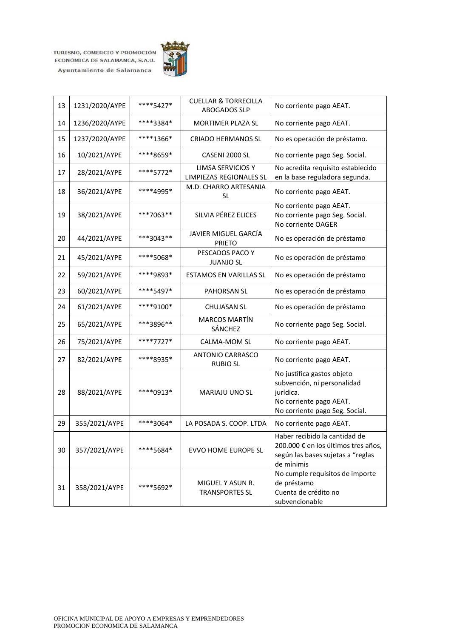

| 13 | 1231/2020/AYPE | ****5427*   | <b>CUELLAR &amp; TORRECILLA</b><br>ABOGADOS SLP     | No corriente pago AEAT.                                                                                                             |
|----|----------------|-------------|-----------------------------------------------------|-------------------------------------------------------------------------------------------------------------------------------------|
| 14 | 1236/2020/AYPE | ****3384*   | MORTIMER PLAZA SL                                   | No corriente pago AEAT.                                                                                                             |
| 15 | 1237/2020/AYPE | ****1366*   | <b>CRIADO HERMANOS SL</b>                           | No es operación de préstamo.                                                                                                        |
| 16 | 10/2021/AYPE   | ****8659*   | CASENI 2000 SL                                      | No corriente pago Seg. Social.                                                                                                      |
| 17 | 28/2021/AYPE   | ****5772*   | LIMSA SERVICIOS Y<br><b>LIMPIEZAS REGIONALES SL</b> | No acredita requisito establecido<br>en la base reguladora segunda.                                                                 |
| 18 | 36/2021/AYPE   | ****4995*   | M.D. CHARRO ARTESANIA<br>SL                         | No corriente pago AEAT.                                                                                                             |
| 19 | 38/2021/AYPE   | ***7063**   | SILVIA PÉREZ ELICES                                 | No corriente pago AEAT.<br>No corriente pago Seg. Social.<br>No corriente OAGER                                                     |
| 20 | 44/2021/AYPE   | ***3043**   | JAVIER MIGUEL GARCÍA<br><b>PRIETO</b>               | No es operación de préstamo                                                                                                         |
| 21 | 45/2021/AYPE   | ****5068*   | PESCADOS PACO Y<br><b>JUANJO SL</b>                 | No es operación de préstamo                                                                                                         |
| 22 | 59/2021/AYPE   | ****9893*   | <b>ESTAMOS EN VARILLAS SL</b>                       | No es operación de préstamo                                                                                                         |
| 23 | 60/2021/AYPE   | ****5497*   | <b>PAHORSAN SL</b>                                  | No es operación de préstamo                                                                                                         |
| 24 | 61/2021/AYPE   | ****9100*   | <b>CHUJASAN SL</b>                                  | No es operación de préstamo                                                                                                         |
| 25 | 65/2021/AYPE   | ***3896**   | <b>MARCOS MARTÍN</b><br>SÁNCHEZ                     | No corriente pago Seg. Social.                                                                                                      |
| 26 | 75/2021/AYPE   | ****7727*   | CALMA-MOM SL                                        | No corriente pago AEAT.                                                                                                             |
| 27 | 82/2021/AYPE   | ****8935*   | <b>ANTONIO CARRASCO</b><br><b>RUBIO SL</b>          | No corriente pago AEAT.                                                                                                             |
| 28 | 88/2021/AYPE   | $****0913*$ | MARIAJU UNO SL                                      | No justifica gastos objeto<br>subvención, ni personalidad<br>jurídica.<br>No corriente pago AEAT.<br>No corriente pago Seg. Social. |
| 29 | 355/2021/AYPE  | ****3064*   | LA POSADA S. COOP. LTDA                             | No corriente pago AEAT.                                                                                                             |
| 30 | 357/2021/AYPE  | ****5684*   | <b>EVVO HOME EUROPE SL</b>                          | Haber recibido la cantidad de<br>200.000 € en los últimos tres años,<br>según las bases sujetas a "reglas<br>de mínimis             |
| 31 | 358/2021/AYPE  | ****5692*   | MIGUEL Y ASUN R.<br><b>TRANSPORTES SL</b>           | No cumple requisitos de importe<br>de préstamo<br>Cuenta de crédito no<br>subvencionable                                            |